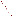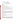# **Technical Factsheet on: SIMAZINE**

## [List of Contaminants](http://www.epa.gov/safewater/hfacts.html)

 As part of the Drinking Water and Health pages, this fact sheet is part of a larger publication: **National Primary Drinking Water Regulations** 

Drinking Water Standards MCLG: 0.004 mg/L MCL: 0.004 mg/L HAL(child): 1- to 10-day: 0.07 mg/L; Longer-term: 0.07 mg/L

## **Health Effects Summary**

 levels above the MCL: weight loss, changes in blood. Acute: EPA has found simazine to potentially cause the following health effects from acute exposures at

Drinking water levels which are considered "safe" for short-term exposures: For a 10-kg (22 lb.) child consuming 1 liter of water per day, up to a 7-year exposure to 0.07 mg/L.

 levels above the MCL: tremors; damage to testes, kidneys, liver and thyroid; gene mutations. Chronic: Simazine has the potential to cause the following health effects from long-term exposures at

 Cancer: There is some evidence that simazine may have the potential to cause cancer from a lifetime exposure at levels above the MCL.

### **Usage Patterns**

 Simazine is a pre-emergence herbicide used for control of broad-leaved and grassy weeds on a variety of orchards, and others. It is also used on non-crop areas such as farm ponds, fish hatcheries, etc. deep-rooted crops such as artichokes, asparagus, berry crops, broad beans, citrus, pome and stone fruits

 Christmas trees; Dual on corn and ornamentals. The amount of simazine used annually in the USA was estimated in 1985 to be 4.8 billion pounds. Its major use is on corn where it is often combined with AAtrex. Other herbicides with which simazine is combined include: paraquat, on apples, peaches; Roundup or Oust for noncrop use; Surflan on

#### **Release Patterns**

 Simazine may be released into the environment via effluents at manufacturing sites and at points of application where it is employed as a herbicide.

 Since simazine is not a listed chemical in the Toxics Release Inventory, data on releases during its manufacture and handling are not available.

## **Environmental Fate**

 to volatilize. Persistence depends upon many factors including degree of algae and weed infestation. in pond and lake water was variable, with half-lives ranging from 50 to 700 days. Slow biodegradation of simazine may occur in water based upon the slow biodegradation observed in soil. Simazine is fairly If released to water, simazine is not expected to adsorb to sediment and suspended particulate matter, or Simazine residues may persist up to 3 years in soil under aquatic field conditions. Dissipation of simazine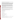than biodegradation at low pH or when various catalysts are present. resistant to hydrolysis. However, chemical hydrolysis of simazine may be more important environmentally

 If released to soil, the mobility of simazine will be expected to vary from slight to high in soil-types ranging degradation (purportedly mainly soil catalyzed hydrolysis) of simazine in two soil 45 and 100 days. from clay soils to sandy loams soils, respectively, based upon soil column, soil thin-layer chromatography, and Koc experiments. Therefore, it may leach to groundwater; adsorption of simazine in soil has been observed to increase as titratable acidity, organic matter and, to a lesser extent, clay content of the soil increased. Simazine may be susceptible to slow hydrolysis in soil based upon reported half-lives for

 Simazine can be utilized by certain soil microorganisms as a source of energy and mineralization. No degradation of simazine was detected in a soil suspension test without the addition of glucose as an energy source suggesting that degradation of simazine in these soil experiments was due to cometabolism. Reported persistence of simazine in soil varies from a half-life of <1 month to no degradation being observed in 3.5 months. Simazine is not expected to volatilize from near surface soils or surfaces under normal environmental conditions.

 important (estimated half-life of about 2.8 hr). Photolysis may be an important removal mechanism in the If released to the atmosphere, simazine is expected to exist almost entirely in the particulate phase. Vapor phase reactions with photochemically produced hydroxyl radicals in the atmosphere may be atmosphere.

 sunfish; 5, bluegill sunfish; 2, catfish. Other BCF values up to 55 have been reported in the literature. Simazine has a low potential to bioaccumulate in fish. BCFs: 0.76-0.95, green sunfish ; <1, bluegill

 or inhalation at places where simazine is produced or used as a herbicide. The most probable exposure should be occupational exposure which may occur through dermal contact

#### **Chemical/ Physical Properties**

CAS Number: 122-34-9

Color/ Form/Odor: White powder

M.P.: 225 C B.P.: N/A

Vapor Pressure: 6.1x10-9

Octanol/Water Partition (Kow): Log Kow = 2.18

Density/Spec. Grav.: 1.3g/ml at 20 C

Solubility: 5 mg/L of water at 20 C; Soluble in water

Odor/Taste Thresholds: N/A

Odor/Taste Thresholds: N/A<br>Soil sorption coefficient: Koc =135 (measured); slight to high mobility in soil, depending upon other factors<br>Henry's Law Coefficient: 4.63x10-10 atm-cu m/mole

Bioconcentration Factor: BCF <10 in fish; not expected to bioconcentrate in aquatic organisms.